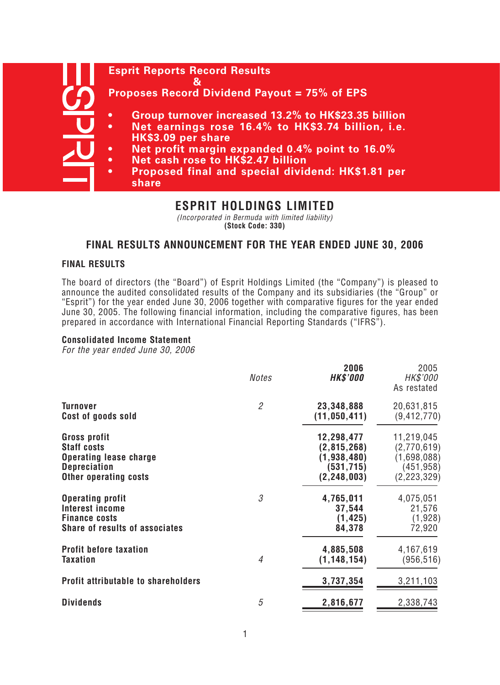# **Esprit Reports Record Results & Proposes Record Dividend Payout = 75% of EPS • Group turnover increased 13.2% to HK\$23.35 billion • Net earnings rose 16.4% to HK\$3.74 billion, i.e. HK\$3.09 per share • Net profit margin expanded 0.4% point to 16.0% • Net cash rose to HK\$2.47 billion • Proposed final and special dividend: HK\$1.81 per share**

# **ESPRIT HOLDINGS LIMITED**

(Incorporated in Bermuda with limited liability) **(Stock Code: 330)**

# **FINAL RESULTS ANNOUNCEMENT FOR THE YEAR ENDED JUNE 30, 2006**

## **FINAL RESULTS**

The board of directors (the "Board") of Esprit Holdings Limited (the "Company") is pleased to announce the audited consolidated results of the Company and its subsidiaries (the "Group" or "Esprit") for the year ended June 30, 2006 together with comparative figures for the year ended June 30, 2005. The following financial information, including the comparative figures, has been prepared in accordance with International Financial Reporting Standards ("IFRS").

## **Consolidated Income Statement**

For the year ended June 30, 2006

|                                            | <b>Notes</b>   | 2006<br><b>HK\$'000</b> | 2005<br>HK\$'000<br>As restated |
|--------------------------------------------|----------------|-------------------------|---------------------------------|
| <b>Turnover</b>                            | $\overline{2}$ | 23,348,888              | 20,631,815                      |
| Cost of goods sold                         |                | (11, 050, 411)          | (9, 412, 770)                   |
| Gross profit                               |                | 12,298,477              | 11,219,045                      |
| <b>Staff costs</b>                         |                | (2, 815, 268)           | (2,770,619)                     |
| <b>Operating lease charge</b>              |                | (1,938,480)             | (1,698,088)                     |
| <b>Depreciation</b>                        |                | (531, 715)              | (451, 958)                      |
| <b>Other operating costs</b>               |                | (2, 248, 003)           | (2, 223, 329)                   |
| <b>Operating profit</b>                    | 3              | 4,765,011               | 4,075,051                       |
| Interest income                            |                | 37,544                  | 21,576                          |
| <b>Finance costs</b>                       |                | (1, 425)                | (1,928)                         |
| <b>Share of results of associates</b>      |                | 84,378                  | 72,920                          |
| <b>Profit before taxation</b>              | $\overline{4}$ | 4,885,508               | 4,167,619                       |
| <b>Taxation</b>                            |                | (1, 148, 154)           | (956, 516)                      |
| <b>Profit attributable to shareholders</b> |                | 3,737,354               | 3,211,103                       |
| <b>Dividends</b>                           | 5              | 2,816,677               | 2,338,743                       |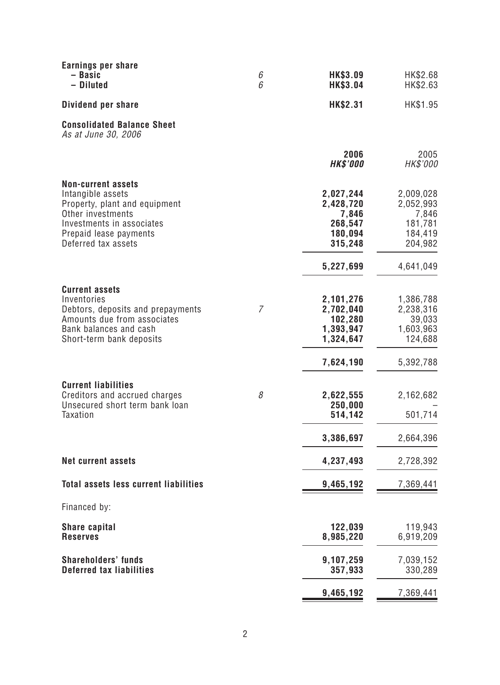| Earnings per share<br>- Basic<br>- Diluted                                                                                                                                         | 6<br>6         | HK\$3.09<br><b>HK\$3.04</b>                                      | HK\$2.68<br>HK\$2.63                                             |
|------------------------------------------------------------------------------------------------------------------------------------------------------------------------------------|----------------|------------------------------------------------------------------|------------------------------------------------------------------|
| Dividend per share                                                                                                                                                                 |                | HK\$2.31                                                         | HK\$1.95                                                         |
| <b>Consolidated Balance Sheet</b><br>As at June 30, 2006                                                                                                                           |                |                                                                  |                                                                  |
|                                                                                                                                                                                    |                | 2006<br><b>HK\$'000</b>                                          | 2005<br>HK\$'000                                                 |
| <b>Non-current assets</b><br>Intangible assets<br>Property, plant and equipment<br>Other investments<br>Investments in associates<br>Prepaid lease payments<br>Deferred tax assets |                | 2,027,244<br>2,428,720<br>7,846<br>268,547<br>180,094<br>315,248 | 2,009,028<br>2,052,993<br>7,846<br>181,781<br>184,419<br>204,982 |
|                                                                                                                                                                                    |                | 5,227,699                                                        | 4,641,049                                                        |
| <b>Current assets</b><br>Inventories<br>Debtors, deposits and prepayments<br>Amounts due from associates<br>Bank balances and cash<br>Short-term bank deposits                     | $\overline{7}$ | 2,101,276<br>2,702,040<br>102,280<br>1,393,947<br>1,324,647      | 1,386,788<br>2,238,316<br>39,033<br>1,603,963<br>124,688         |
|                                                                                                                                                                                    |                | 7,624,190                                                        | 5,392,788                                                        |
| <b>Current liabilities</b><br>Creditors and accrued charges<br>Unsecured short term bank loan<br><b>Taxation</b>                                                                   | 8              | 2,622,555<br>250,000<br>514,142                                  | 2,162,682<br>501,714                                             |
|                                                                                                                                                                                    |                | 3,386,697                                                        | 2,664,396                                                        |
| <b>Net current assets</b>                                                                                                                                                          |                | 4,237,493                                                        | 2,728,392                                                        |
| <b>Total assets less current liabilities</b>                                                                                                                                       |                | 9,465,192                                                        | 7,369,441                                                        |
| Financed by:                                                                                                                                                                       |                |                                                                  |                                                                  |
| <b>Share capital</b><br><b>Reserves</b>                                                                                                                                            |                | 122,039<br>8,985,220                                             | 119,943<br>6,919,209                                             |
| <b>Shareholders' funds</b><br><b>Deferred tax liabilities</b>                                                                                                                      |                | 9,107,259<br>357,933                                             | 7,039,152<br>330,289                                             |
|                                                                                                                                                                                    |                | 9,465,192                                                        | 7,369,441                                                        |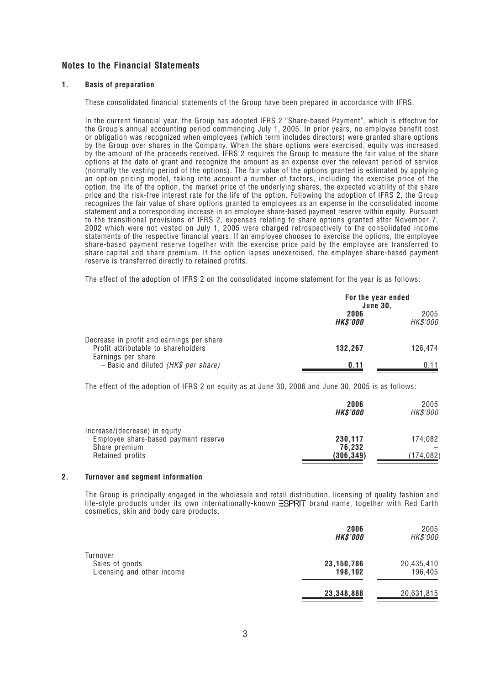## **Notes to the Financial Statements**

#### **1. Basis of preparation**

These consolidated financial statements of the Group have been prepared in accordance with IFRS.

In the current financial year, the Group has adopted IFRS 2 "Share-based Payment", which is effective for the Group's annual accounting period commencing July 1, 2005. In prior years, no employee benefit cost or obligation was recognized when employees (which term includes directors) were granted share options by the Group over shares in the Company. When the share options were exercised, equity was increased by the amount of the proceeds received. IFRS 2 requires the Group to measure the fair value of the share options at the date of grant and recognize the amount as an expense over the relevant period of service (normally the vesting period of the options). The fair value of the options granted is estimated by applying an option pricing model, taking into account a number of factors, including the exercise price of the option, the life of the option, the market price of the underlying shares, the expected volatility of the share price and the risk-free interest rate for the life of the option. Following the adoption of IFRS 2, the Group recognizes the fair value of share options granted to employees as an expense in the consolidated income statement and a corresponding increase in an employee share-based payment reserve within equity. Pursuant to the transitional provisions of IFRS 2, expenses relating to share options granted after November 7, 2002 which were not vested on July 1, 2005 were charged retrospectively to the consolidated income statements of the respective financial years. If an employee chooses to exercise the options, the employee share-based payment reserve together with the exercise price paid by the employee are transferred to share capital and share premium. If the option lapses unexercised, the employee share-based payment reserve is transferred directly to retained profits.

The effect of the adoption of IFRS 2 on the consolidated income statement for the year is as follows:

|                                                                                  | For the year ended<br><b>June 30,</b> |                  |
|----------------------------------------------------------------------------------|---------------------------------------|------------------|
|                                                                                  | 2006<br><b>HK\$'000</b>               | 2005<br>HK\$'000 |
| Decrease in profit and earnings per share<br>Profit attributable to shareholders | 132,267                               | 126,474          |
| Earnings per share<br>- Basic and diluted ( $HK$$ per share)                     | 0.11                                  | 0 11             |

The effect of the adoption of IFRS 2 on equity as at June 30, 2006 and June 30, 2005 is as follows:

|                                                                       | 2006<br><b>HK\$'000</b> | 2005<br><i>HK\$'000</i> |
|-----------------------------------------------------------------------|-------------------------|-------------------------|
| Increase/(decrease) in equity<br>Employee share-based payment reserve | 230,117                 | 174,082                 |
| Share premium<br>Retained profits                                     | 76,232<br>(306, 349)    | (174,082)               |

#### **2. Turnover and segment information**

The Group is principally engaged in the wholesale and retail distribution, licensing of quality fashion and life-style products under its own internationally-known  $\Xi$ SPRIT brand name, together with Red Earth cosmetics, skin and body care products.

|                                                          | 2006<br><b>HK\$'000</b> | 2005<br>HK\$'000      |
|----------------------------------------------------------|-------------------------|-----------------------|
| Turnover<br>Sales of goods<br>Licensing and other income | 23, 150, 786<br>198,102 | 20,435,410<br>196,405 |
|                                                          | 23,348,888              | 20,631,815            |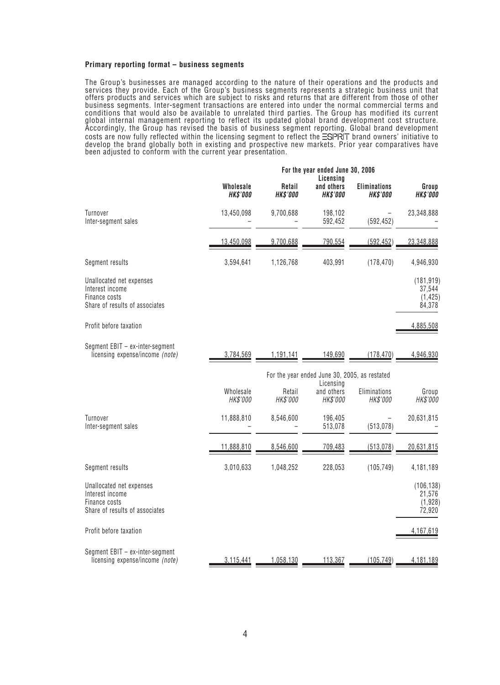#### **Primary reporting format – business segments**

The Group's businesses are managed according to the nature of their operations and the products and services they provide. Each of the Group's business segments represents a strategic business unit that offers products and services which are subject to risks and returns that are different from those of other business segments. Inter-segment transactions are entered into under the normal commercial terms and conditions that would also be available to unrelated third parties. The Group has modified its current global internal management reporting to reflect its updated global brand development cost structure. Accordingly, the Group has revised the basis of business segment reporting. Global brand development costs are now fully reflected within the licensing segment to reflect the ESIPRIT brand owners' initiative to develop the brand globally both in existing and prospective new markets. Prior year comparatives have been adjusted to conform with the current year presentation.

|                                                                                                | For the year ended June 30, 2006<br>Licensing |                           |                                                            |                                        |                                            |
|------------------------------------------------------------------------------------------------|-----------------------------------------------|---------------------------|------------------------------------------------------------|----------------------------------------|--------------------------------------------|
|                                                                                                | Wholesale<br><b>HK\$'000</b>                  | Retail<br><b>HK\$'000</b> | and others<br><b>HK\$'000</b>                              | <b>Eliminations</b><br><b>HK\$'000</b> | Group<br><b>HK\$'000</b>                   |
| Turnover<br>Inter-segment sales                                                                | 13,450,098                                    | 9,700,688                 | 198,102<br>592,452                                         | (592, 452)                             | 23,348,888                                 |
|                                                                                                | 13,450,098                                    | 9,700,688                 | 790,554                                                    | (592, 452)                             | 23,348,888                                 |
| Segment results                                                                                | 3,594,641                                     | 1,126,768                 | 403,991                                                    | (178, 470)                             | 4,946,930                                  |
| Unallocated net expenses<br>Interest income<br>Finance costs<br>Share of results of associates |                                               |                           |                                                            |                                        | (181, 919)<br>37,544<br>(1, 425)<br>84,378 |
| Profit before taxation                                                                         |                                               |                           |                                                            |                                        | 4,885,508                                  |
| Segment EBIT - ex-inter-segment<br>licensing expense/income (note)                             | 3,784,569                                     | 1,191,141                 | 149,690                                                    | (178, 470)                             | 4,946,930                                  |
|                                                                                                |                                               |                           | For the year ended June 30, 2005, as restated<br>Licensing |                                        |                                            |
|                                                                                                | Wholesale<br>HK\$'000                         | Retail<br>HK\$'000        | and others<br>HK\$'000                                     | Eliminations<br>HK\$'000               | Group<br>HK\$'000                          |
| Turnover<br>Inter-segment sales                                                                | 11,888,810                                    | 8,546,600                 | 196,405<br>513,078                                         | (513, 078)                             | 20,631,815                                 |
|                                                                                                | 11,888,810                                    | 8,546,600                 | 709,483                                                    | (513, 078)                             | 20,631,815                                 |
| Segment results                                                                                | 3,010,633                                     | 1,048,252                 | 228,053                                                    | (105, 749)                             | 4,181,189                                  |
| Unallocated net expenses<br>Interest income<br>Finance costs<br>Share of results of associates |                                               |                           |                                                            |                                        | (106, 138)<br>21,576<br>(1,928)<br>72,920  |
| Profit before taxation                                                                         |                                               |                           |                                                            |                                        | 4,167,619                                  |
| Segment EBIT - ex-inter-segment<br>licensing expense/income (note)                             | 3,115,441                                     | 1,058,130                 | 113,367                                                    | (105, 749)                             | 4,181,189                                  |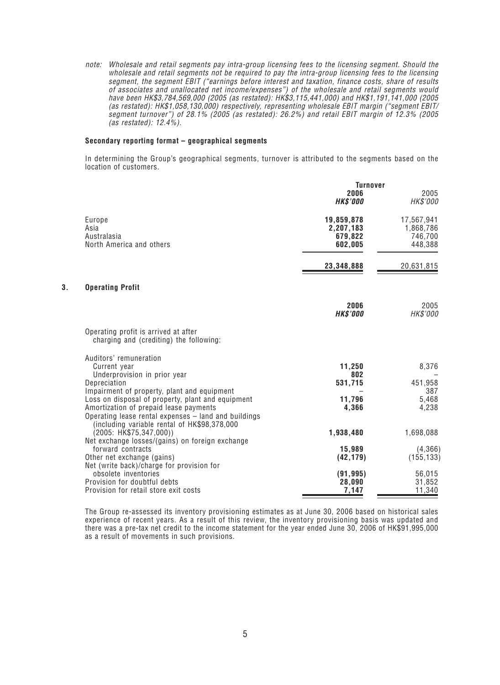note: Wholesale and retail segments pay intra-group licensing fees to the licensing segment. Should the wholesale and retail segments not be required to pay the intra-group licensing fees to the licensing segment, the segment EBIT ("earnings before interest and taxation, finance costs, share of results of associates and unallocated net income/expenses") of the wholesale and retail segments would have been HK\$3,784,569,000 (2005 (as restated): HK\$3,115,441,000) and HK\$1,191,141,000 (2005 (as restated): HK\$1,058,130,000) respectively, representing wholesale EBIT margin ("segment EBIT/ segment turnover") of 28.1% (2005 (as restated): 26.2%) and retail EBIT margin of 12.3% (2005 (as restated): 12.4%).

#### **Secondary reporting format – geographical segments**

In determining the Group's geographical segments, turnover is attributed to the segments based on the location of customers.

|    |                                                                                                | <b>Turnover</b>         |                      |
|----|------------------------------------------------------------------------------------------------|-------------------------|----------------------|
|    |                                                                                                | 2006<br><b>HK\$'000</b> | 2005<br>HK\$'000     |
|    | Europe                                                                                         | 19,859,878              | 17,567,941           |
|    | Asia<br>Australasia                                                                            | 2,207,183<br>679,822    | 1,868,786<br>746,700 |
|    | North America and others                                                                       | 602,005                 | 448,388              |
|    |                                                                                                | 23,348,888              | 20,631,815           |
| 3. | <b>Operating Profit</b>                                                                        |                         |                      |
|    |                                                                                                | 2006<br><b>HK\$'000</b> | 2005<br>HK\$'000     |
|    | Operating profit is arrived at after<br>charging and (crediting) the following:                |                         |                      |
|    | Auditors' remuneration                                                                         |                         |                      |
|    | Current year                                                                                   | 11,250<br>802           | 8,376                |
|    | Underprovision in prior year<br>Depreciation                                                   | 531,715                 | 451,958              |
|    | Impairment of property, plant and equipment                                                    |                         | 387                  |
|    | Loss on disposal of property, plant and equipment                                              | 11,796                  | 5,468                |
|    | Amortization of prepaid lease payments<br>Operating lease rental expenses - land and buildings | 4,366                   | 4,238                |
|    | (including variable rental of HK\$98,378,000<br>(2005: HK\$75,347,000))                        | 1,938,480               | 1,698,088            |
|    | Net exchange losses/(gains) on foreign exchange                                                |                         |                      |
|    | forward contracts                                                                              | 15,989                  | (4,366)              |
|    | Other net exchange (gains)                                                                     | (42, 179)               | (155, 133)           |
|    | Net (write back)/charge for provision for<br>obsolete inventories                              | (91, 995)               | 56,015               |
|    | Provision for doubtful debts                                                                   | 28,090                  | 31,852               |
|    | Provision for retail store exit costs                                                          | 7,147                   | 11,340               |

The Group re-assessed its inventory provisioning estimates as at June 30, 2006 based on historical sales experience of recent years. As a result of this review, the inventory provisioning basis was updated and there was a pre-tax net credit to the income statement for the year ended June 30, 2006 of HK\$91,995,000 as a result of movements in such provisions.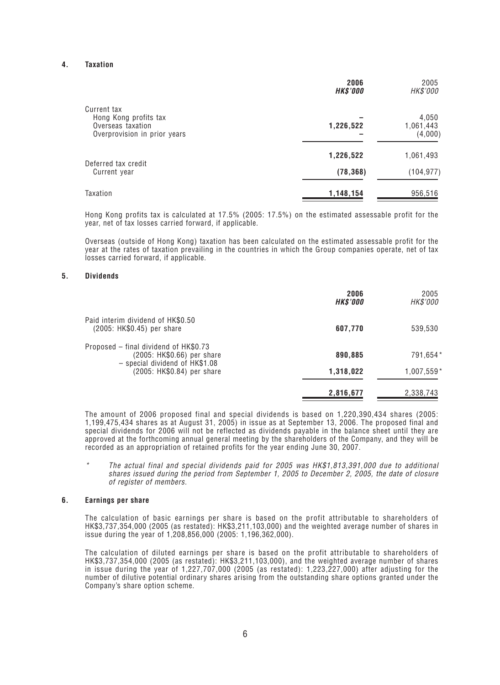#### **4. Taxation**

|                                                                            | 2006<br><b>HK\$'000</b> | 2005<br><i>HK\$'000</i>       |
|----------------------------------------------------------------------------|-------------------------|-------------------------------|
| Current tax                                                                |                         |                               |
| Hong Kong profits tax<br>Overseas taxation<br>Overprovision in prior years | 1,226,522               | 4,050<br>1,061,443<br>(4,000) |
|                                                                            | 1,226,522               | 1,061,493                     |
| Deferred tax credit<br>Current year                                        | (78, 368)               | (104, 977)                    |
| Taxation                                                                   | 1,148,154               | 956,516                       |

Hong Kong profits tax is calculated at 17.5% (2005: 17.5%) on the estimated assessable profit for the year, net of tax losses carried forward, if applicable.

Overseas (outside of Hong Kong) taxation has been calculated on the estimated assessable profit for the year at the rates of taxation prevailing in the countries in which the Group companies operate, net of tax losses carried forward, if applicable.

#### **5. Dividends**

|                                                                                                       | 2006<br><b>HK\$'000</b> | 2005<br>HK\$'000 |
|-------------------------------------------------------------------------------------------------------|-------------------------|------------------|
| Paid interim dividend of HK\$0.50<br>(2005: HK\$0.45) per share                                       | 607,770                 | 539,530          |
| Proposed – final dividend of HK\$0.73<br>(2005: HK\$0.66) per share<br>- special dividend of HK\$1.08 | 890,885                 | 791,654*         |
| (2005: HK\$0.84) per share                                                                            | 1,318,022               | 1,007,559*       |
|                                                                                                       | 2,816,677               | 2,338,743        |

The amount of 2006 proposed final and special dividends is based on 1,220,390,434 shares (2005: 1,199,475,434 shares as at August 31, 2005) in issue as at September 13, 2006. The proposed final and special dividends for 2006 will not be reflected as dividends payable in the balance sheet until they are approved at the forthcoming annual general meeting by the shareholders of the Company, and they will be recorded as an appropriation of retained profits for the year ending June 30, 2007.

\* The actual final and special dividends paid for 2005 was HK\$1,813,391,000 due to additional shares issued during the period from September 1, 2005 to December 2, 2005, the date of closure of register of members.

#### **6. Earnings per share**

The calculation of basic earnings per share is based on the profit attributable to shareholders of HK\$3,737,354,000 (2005 (as restated): HK\$3,211,103,000) and the weighted average number of shares in issue during the year of 1,208,856,000 (2005: 1,196,362,000).

The calculation of diluted earnings per share is based on the profit attributable to shareholders of HK\$3,737,354,000 (2005 (as restated): HK\$3,211,103,000), and the weighted average number of shares in issue during the year of 1,227,707,000 (2005 (as restated): 1,223,227,000) after adjusting for the number of dilutive potential ordinary shares arising from the outstanding share options granted under the Company's share option scheme.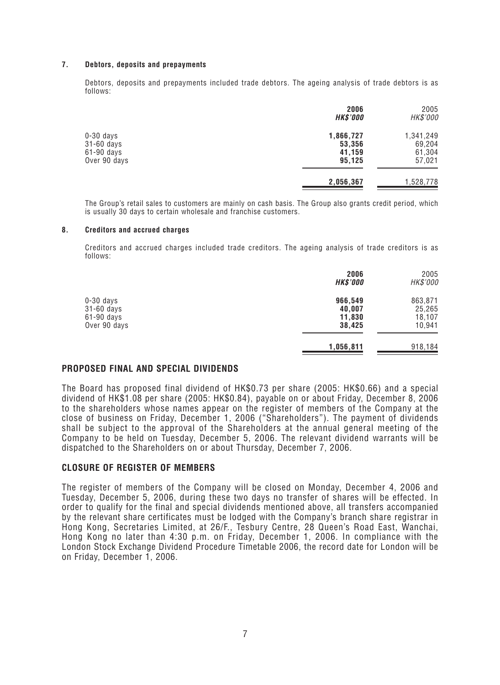#### **7. Debtors, deposits and prepayments**

Debtors, deposits and prepayments included trade debtors. The ageing analysis of trade debtors is as follows:

|                            | 2006<br><b>HK\$'000</b> | 2005<br>HK\$'000 |
|----------------------------|-------------------------|------------------|
| $0-30$ days                | 1,866,727               | 1,341,249        |
| 31-60 days<br>$61-90$ days | 53,356<br>41,159        | 69,204<br>61,304 |
| Over 90 days               | 95,125                  | 57,021           |
|                            | 2,056,367               | 1,528,778        |

The Group's retail sales to customers are mainly on cash basis. The Group also grants credit period, which is usually 30 days to certain wholesale and franchise customers.

#### **8. Creditors and accrued charges**

Creditors and accrued charges included trade creditors. The ageing analysis of trade creditors is as follows:

|              | 2006<br><b>HK\$'000</b> | 2005<br>HK\$'000 |
|--------------|-------------------------|------------------|
| $0-30$ days  | 966,549                 | 863,871          |
| 31-60 days   | 40,007                  | 25,265           |
| 61-90 days   | 11,830                  | 18,107           |
| Over 90 days | 38,425                  | 10,941           |
|              | 1,056,811               | 918,184          |

#### **PROPOSED FINAL AND SPECIAL DIVIDENDS**

The Board has proposed final dividend of HK\$0.73 per share (2005: HK\$0.66) and a special dividend of HK\$1.08 per share (2005: HK\$0.84), payable on or about Friday, December 8, 2006 to the shareholders whose names appear on the register of members of the Company at the close of business on Friday, December 1, 2006 ("Shareholders"). The payment of dividends shall be subject to the approval of the Shareholders at the annual general meeting of the Company to be held on Tuesday, December 5, 2006. The relevant dividend warrants will be dispatched to the Shareholders on or about Thursday, December 7, 2006.

#### **CLOSURE OF REGISTER OF MEMBERS**

The register of members of the Company will be closed on Monday, December 4, 2006 and Tuesday, December 5, 2006, during these two days no transfer of shares will be effected. In order to qualify for the final and special dividends mentioned above, all transfers accompanied by the relevant share certificates must be lodged with the Company's branch share registrar in Hong Kong, Secretaries Limited, at 26/F., Tesbury Centre, 28 Queen's Road East, Wanchai, Hong Kong no later than 4:30 p.m. on Friday, December 1, 2006. In compliance with the London Stock Exchange Dividend Procedure Timetable 2006, the record date for London will be on Friday, December 1, 2006.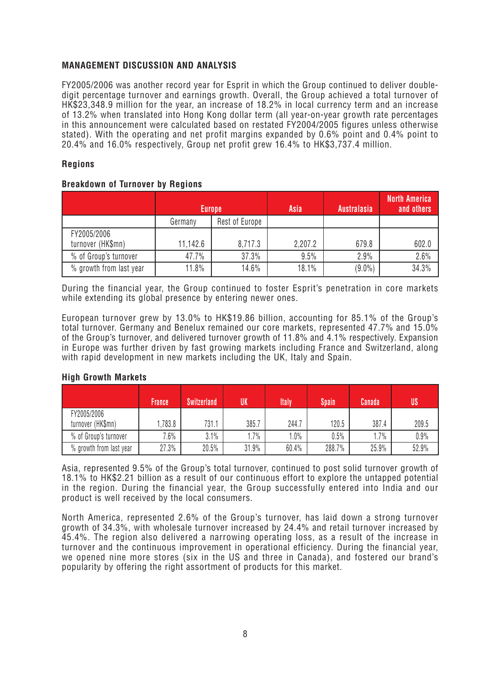## **MANAGEMENT DISCUSSION AND ANALYSIS**

FY2005/2006 was another record year for Esprit in which the Group continued to deliver doubledigit percentage turnover and earnings growth. Overall, the Group achieved a total turnover of HK\$23,348.9 million for the year, an increase of 18.2% in local currency term and an increase of 13.2% when translated into Hong Kong dollar term (all year-on-year growth rate percentages in this announcement were calculated based on restated FY2004/2005 figures unless otherwise stated). With the operating and net profit margins expanded by 0.6% point and 0.4% point to 20.4% and 16.0% respectively, Group net profit grew 16.4% to HK\$3,737.4 million.

## **Regions**

### **Breakdown of Turnover by Regions**

|                                  | <b>Europe</b> |                | Asia    | <b>Australasia</b> | North America<br>and others |
|----------------------------------|---------------|----------------|---------|--------------------|-----------------------------|
|                                  | Germany       | Rest of Europe |         |                    |                             |
| FY2005/2006<br>turnover (HK\$mn) | 11,142.6      | 8,717.3        | 2,207.2 | 679.8              | 602.0                       |
| % of Group's turnover            | 47.7%         | 37.3%          | 9.5%    | 2.9%               | 2.6%                        |
| % growth from last year          | 11.8%         | 14.6%          | 18.1%   | $(9.0\%)$          | 34.3%                       |

During the financial year, the Group continued to foster Esprit's penetration in core markets while extending its global presence by entering newer ones.

European turnover grew by 13.0% to HK\$19.86 billion, accounting for 85.1% of the Group's total turnover. Germany and Benelux remained our core markets, represented 47.7% and 15.0% of the Group's turnover, and delivered turnover growth of 11.8% and 4.1% respectively. Expansion in Europe was further driven by fast growing markets including France and Switzerland, along with rapid development in new markets including the UK, Italy and Spain.

### **High Growth Markets**

|                                  | <b>France</b> | <b>Switzerland</b> | UK     | <b>Italy</b> | <b>Spain</b> | Canada | <b>US</b> |
|----------------------------------|---------------|--------------------|--------|--------------|--------------|--------|-----------|
| FY2005/2006<br>turnover (HK\$mn) | ,783.8        | 731.1              | 385.7  | 244.7        | 120.5        | 387.4  | 209.5     |
| % of Group's turnover            | $.6\%$        | 3.1%               | $.7\%$ | $.0\%$       | 0.5%         | $.7\%$ | 0.9%      |
| % growth from last year          | 27.3%         | 20.5%              | 31.9%  | 60.4%        | 288.7%       | 25.9%  | 52.9%     |

Asia, represented 9.5% of the Group's total turnover, continued to post solid turnover growth of 18.1% to HK\$2.21 billion as a result of our continuous effort to explore the untapped potential in the region. During the financial year, the Group successfully entered into India and our product is well received by the local consumers.

North America, represented 2.6% of the Group's turnover, has laid down a strong turnover growth of 34.3%, with wholesale turnover increased by 24.4% and retail turnover increased by 45.4%. The region also delivered a narrowing operating loss, as a result of the increase in turnover and the continuous improvement in operational efficiency. During the financial year, we opened nine more stores (six in the US and three in Canada), and fostered our brand's popularity by offering the right assortment of products for this market.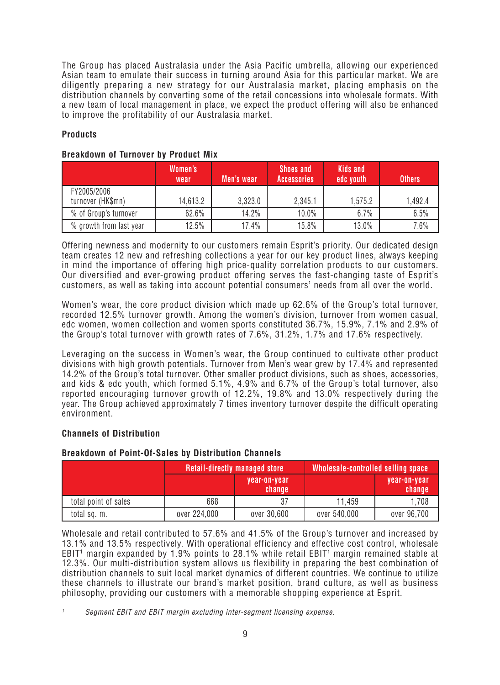The Group has placed Australasia under the Asia Pacific umbrella, allowing our experienced Asian team to emulate their success in turning around Asia for this particular market. We are diligently preparing a new strategy for our Australasia market, placing emphasis on the distribution channels by converting some of the retail concessions into wholesale formats. With a new team of local management in place, we expect the product offering will also be enhanced to improve the profitability of our Australasia market.

## **Products**

## **Breakdown of Turnover by Product Mix**

|                                  | Women's<br>wear | Men's wear | <b>Shoes and</b><br><b>Accessories</b> | <b>Kids and</b><br>edc youth | <b>Others</b> |
|----------------------------------|-----------------|------------|----------------------------------------|------------------------------|---------------|
| FY2005/2006<br>turnover (HK\$mn) | 14,613.2        | 3,323.0    | 2,345.1                                | 1,575.2                      | 1.492.4       |
| % of Group's turnover            | 62.6%           | 14.2%      | $10.0\%$                               | 6.7%                         | 6.5%          |
| % growth from last year          | 12.5%           | 17.4%      | 15.8%                                  | $13.0\%$                     | 7.6%          |

Offering newness and modernity to our customers remain Esprit's priority. Our dedicated design team creates 12 new and refreshing collections a year for our key product lines, always keeping in mind the importance of offering high price-quality correlation products to our customers. Our diversified and ever-growing product offering serves the fast-changing taste of Esprit's customers, as well as taking into account potential consumers' needs from all over the world.

Women's wear, the core product division which made up 62.6% of the Group's total turnover, recorded 12.5% turnover growth. Among the women's division, turnover from women casual, edc women, women collection and women sports constituted 36.7%, 15.9%, 7.1% and 2.9% of the Group's total turnover with growth rates of 7.6%, 31.2%, 1.7% and 17.6% respectively.

Leveraging on the success in Women's wear, the Group continued to cultivate other product divisions with high growth potentials. Turnover from Men's wear grew by 17.4% and represented 14.2% of the Group's total turnover. Other smaller product divisions, such as shoes, accessories, and kids & edc youth, which formed 5.1%, 4.9% and 6.7% of the Group's total turnover, also reported encouraging turnover growth of 12.2%, 19.8% and 13.0% respectively during the year. The Group achieved approximately 7 times inventory turnover despite the difficult operating environment.

## **Channels of Distribution**

## **Breakdown of Point-Of-Sales by Distribution Channels**

|                      |              | <b>Retail-directly managed store</b> | Wholesale-controlled selling space |                        |
|----------------------|--------------|--------------------------------------|------------------------------------|------------------------|
|                      |              | year-on-year<br>change               |                                    | year-on-year<br>change |
| total point of sales | 668          | 37                                   | 11.459                             | 1,708                  |
| total sq. m.         | over 224,000 | over 30,600                          | over 540,000                       | over 96,700            |

Wholesale and retail contributed to 57.6% and 41.5% of the Group's turnover and increased by 13.1% and 13.5% respectively. With operational efficiency and effective cost control, wholesale EBIT<sup>1</sup> margin expanded by 1.9% points to 28.1% while retail EBIT<sup>1</sup> margin remained stable at 12.3%. Our multi-distribution system allows us flexibility in preparing the best combination of distribution channels to suit local market dynamics of different countries. We continue to utilize these channels to illustrate our brand's market position, brand culture, as well as business philosophy, providing our customers with a memorable shopping experience at Esprit.

Segment EBIT and EBIT margin excluding inter-segment licensing expense.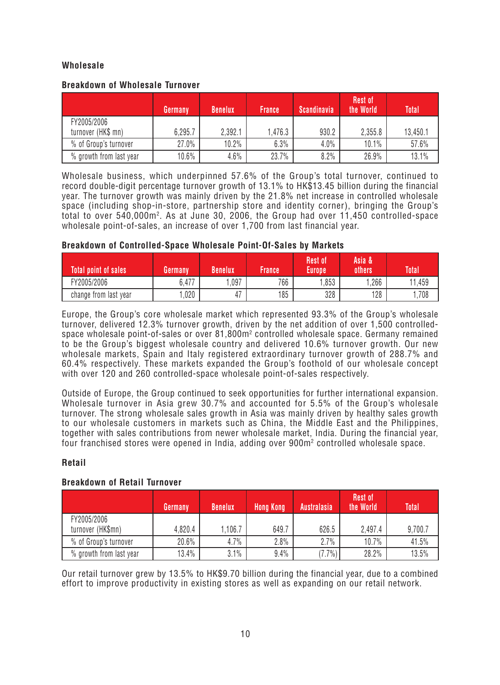## **Wholesale**

## **Breakdown of Wholesale Turnover**

|                                   | Germany | <b>Benelux</b> | <b>France</b> | <b>Scandinavia</b> | <b>Rest of</b><br>the World | Total'   |
|-----------------------------------|---------|----------------|---------------|--------------------|-----------------------------|----------|
| FY2005/2006<br>turnover (HK\$ mn) | 6,295.7 | 2,392.1        | .476.3        | 930.2              | 2,355.8                     | 13,450.1 |
| % of Group's turnover             | 27.0%   | $10.2\%$       | 6.3%          | 4.0%               | 10.1%                       | 57.6%    |
| % growth from last year           | 10.6%   | 4.6%           | 23.7%         | 8.2%               | 26.9%                       | 13.1%    |

Wholesale business, which underpinned 57.6% of the Group's total turnover, continued to record double-digit percentage turnover growth of 13.1% to HK\$13.45 billion during the financial year. The turnover growth was mainly driven by the 21.8% net increase in controlled wholesale space (including shop-in-store, partnership store and identity corner), bringing the Group's total to over 540,000m2 . As at June 30, 2006, the Group had over 11,450 controlled-space wholesale point-of-sales, an increase of over 1,700 from last financial year.

## **Breakdown of Controlled-Space Wholesale Point-Of-Sales by Markets**

| <b>Total point of sales</b> | Germany | <b>Benelux</b>                 | France | <b>Rest of</b><br>Europel | Asia &<br>others | <b>Total</b> |
|-----------------------------|---------|--------------------------------|--------|---------------------------|------------------|--------------|
| FY2005/2006                 | 0.477   | .097                           | 766    | .853                      | .266             | .459<br>11   |
| change from last year       | 020,    | $\overline{\phantom{a}}$<br>4, | 185    | 328                       | 128              | 708          |

Europe, the Group's core wholesale market which represented 93.3% of the Group's wholesale turnover, delivered 12.3% turnover growth, driven by the net addition of over 1,500 controlledspace wholesale point-of-sales or over 81,800m2 controlled wholesale space. Germany remained to be the Group's biggest wholesale country and delivered 10.6% turnover growth. Our new wholesale markets, Spain and Italy registered extraordinary turnover growth of 288.7% and 60.4% respectively. These markets expanded the Group's foothold of our wholesale concept with over 120 and 260 controlled-space wholesale point-of-sales respectively.

Outside of Europe, the Group continued to seek opportunities for further international expansion. Wholesale turnover in Asia grew 30.7% and accounted for 5.5% of the Group's wholesale turnover. The strong wholesale sales growth in Asia was mainly driven by healthy sales growth to our wholesale customers in markets such as China, the Middle East and the Philippines, together with sales contributions from newer wholesale market, India. During the financial year, four franchised stores were opened in India, adding over  $900\mathsf{m}^2$  controlled wholesale space.

## **Retail**

## **Breakdown of Retail Turnover**

|                                  | Germany | <b>Benelux</b> | <b>Hong Kong</b> | <b>Australasia</b> | <b>Rest of</b><br>the World | <b>Total</b> |
|----------------------------------|---------|----------------|------------------|--------------------|-----------------------------|--------------|
| FY2005/2006<br>turnover (HK\$mn) | 4,820.4 | .106.7         | 649.7            | 626.5              | 2,497.4                     | 9,700.7      |
| % of Group's turnover            | 20.6%   | 4.7%           | 2.8%             | 2.7%               | 10.7%                       | 41.5%        |
| % growth from last year          | 13.4%   | 3.1%           | 9.4%             | $7.7\%$ )          | 28.2%                       | 13.5%        |

Our retail turnover grew by 13.5% to HK\$9.70 billion during the financial year, due to a combined effort to improve productivity in existing stores as well as expanding on our retail network.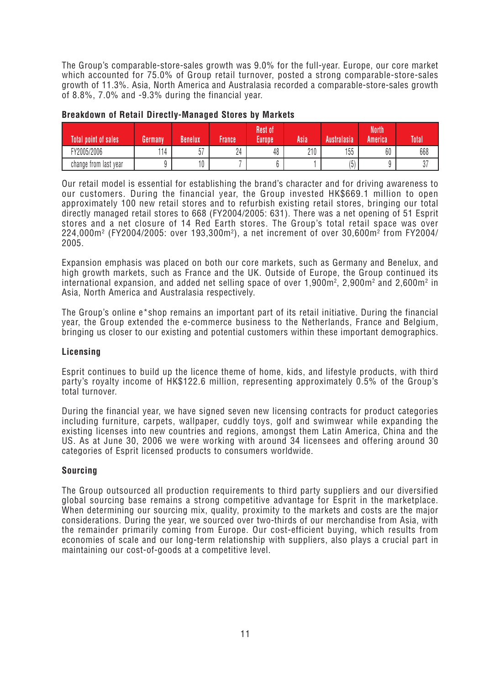The Group's comparable-store-sales growth was 9.0% for the full-year. Europe, our core market which accounted for 75.0% of Group retail turnover, posted a strong comparable-store-sales growth of 11.3%. Asia, North America and Australasia recorded a comparable-store-sales growth of 8.8%, 7.0% and -9.3% during the financial year.

| <b>Total point of sales</b> | Germany | Benelux          | France             | Rest of<br>Europe | Asia | Australasia | <b>North</b><br>America | Total |
|-----------------------------|---------|------------------|--------------------|-------------------|------|-------------|-------------------------|-------|
| FY2005/2006                 | 114     | $- -$<br>n<br>JΙ | $\mathbf{A}$<br>24 | 48                | 210  | 155         | 60                      | 668   |
| change from last year       |         | ιΛ<br>v          |                    |                   |      | 15<br>J     |                         | υı    |

### **Breakdown of Retail Directly-Managed Stores by Markets**

Our retail model is essential for establishing the brand's character and for driving awareness to our customers. During the financial year, the Group invested HK\$669.1 million to open approximately 100 new retail stores and to refurbish existing retail stores, bringing our total directly managed retail stores to 668 (FY2004/2005: 631). There was a net opening of 51 Esprit stores and a net closure of 14 Red Earth stores. The Group's total retail space was over 224,000m2 (FY2004/2005: over 193,300m2 ), a net increment of over 30,600m2 from FY2004/ 2005.

Expansion emphasis was placed on both our core markets, such as Germany and Benelux, and high growth markets, such as France and the UK. Outside of Europe, the Group continued its international expansion, and added net selling space of over 1,900 $\mathrm{m}^2$ , 2,900 $\mathrm{m}^2$  and 2,600 $\mathrm{m}^2$  in Asia, North America and Australasia respectively.

The Group's online e\*shop remains an important part of its retail initiative. During the financial year, the Group extended the e-commerce business to the Netherlands, France and Belgium, bringing us closer to our existing and potential customers within these important demographics.

## **Licensing**

Esprit continues to build up the licence theme of home, kids, and lifestyle products, with third party's royalty income of HK\$122.6 million, representing approximately 0.5% of the Group's total turnover.

During the financial year, we have signed seven new licensing contracts for product categories including furniture, carpets, wallpaper, cuddly toys, golf and swimwear while expanding the existing licenses into new countries and regions, amongst them Latin America, China and the US. As at June 30, 2006 we were working with around 34 licensees and offering around 30 categories of Esprit licensed products to consumers worldwide.

## **Sourcing**

The Group outsourced all production requirements to third party suppliers and our diversified global sourcing base remains a strong competitive advantage for Esprit in the marketplace. When determining our sourcing mix, quality, proximity to the markets and costs are the major considerations. During the year, we sourced over two-thirds of our merchandise from Asia, with the remainder primarily coming from Europe. Our cost-efficient buying, which results from economies of scale and our long-term relationship with suppliers, also plays a crucial part in maintaining our cost-of-goods at a competitive level.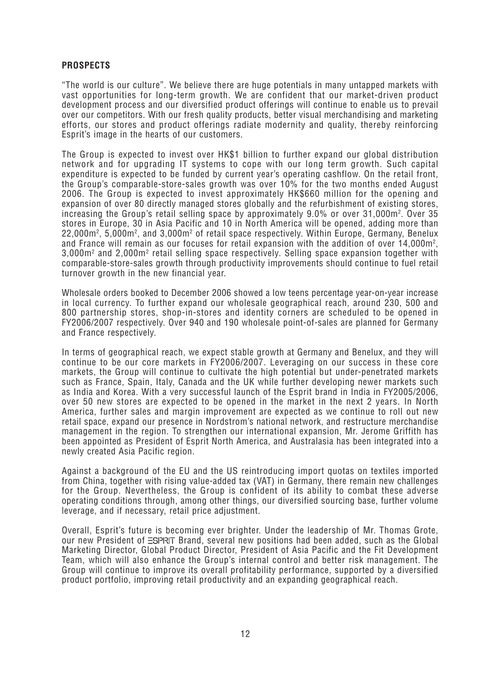## **PROSPECTS**

"The world is our culture". We believe there are huge potentials in many untapped markets with vast opportunities for long-term growth. We are confident that our market-driven product development process and our diversified product offerings will continue to enable us to prevail over our competitors. With our fresh quality products, better visual merchandising and marketing efforts, our stores and product offerings radiate modernity and quality, thereby reinforcing Esprit's image in the hearts of our customers.

The Group is expected to invest over HK\$1 billion to further expand our global distribution network and for upgrading IT systems to cope with our long term growth. Such capital expenditure is expected to be funded by current year's operating cashflow. On the retail front, the Group's comparable-store-sales growth was over 10% for the two months ended August 2006. The Group is expected to invest approximately HK\$660 million for the opening and expansion of over 80 directly managed stores globally and the refurbishment of existing stores, increasing the Group's retail selling space by approximately 9.0% or over 31,000m2 . Over 35 stores in Europe, 30 in Asia Pacific and 10 in North America will be opened, adding more than 22,000 $\mathsf{m}^2$ , 5,000 $\mathsf{m}^2$ , and 3,000 $\mathsf{m}^2$  of retail space respectively. Within Europe, Germany, Benelux and France will remain as our focuses for retail expansion with the addition of over 14,000m², 3,000 $\mathsf{m}^{\mathsf{2}}$  and 2,000 $\mathsf{m}^{\mathsf{2}}$  retail selling space respectively. Selling space expansion together with comparable-store-sales growth through productivity improvements should continue to fuel retail turnover growth in the new financial year.

Wholesale orders booked to December 2006 showed a low teens percentage year-on-year increase in local currency. To further expand our wholesale geographical reach, around 230, 500 and 800 partnership stores, shop-in-stores and identity corners are scheduled to be opened in FY2006/2007 respectively. Over 940 and 190 wholesale point-of-sales are planned for Germany and France respectively.

In terms of geographical reach, we expect stable growth at Germany and Benelux, and they will continue to be our core markets in FY2006/2007. Leveraging on our success in these core markets, the Group will continue to cultivate the high potential but under-penetrated markets such as France, Spain, Italy, Canada and the UK while further developing newer markets such as India and Korea. With a very successful launch of the Esprit brand in India in FY2005/2006, over 50 new stores are expected to be opened in the market in the next 2 years. In North America, further sales and margin improvement are expected as we continue to roll out new retail space, expand our presence in Nordstrom's national network, and restructure merchandise management in the region. To strengthen our international expansion, Mr. Jerome Griffith has been appointed as President of Esprit North America, and Australasia has been integrated into a newly created Asia Pacific region.

Against a background of the EU and the US reintroducing import quotas on textiles imported from China, together with rising value-added tax (VAT) in Germany, there remain new challenges for the Group. Nevertheless, the Group is confident of its ability to combat these adverse operating conditions through, among other things, our diversified sourcing base, further volume leverage, and if necessary, retail price adjustment.

Overall, Esprit's future is becoming ever brighter. Under the leadership of Mr. Thomas Grote, our new President of  $\equiv$ SPRIT Brand, several new positions had been added, such as the Global Marketing Director, Global Product Director, President of Asia Pacific and the Fit Development Team, which will also enhance the Group's internal control and better risk management. The Group will continue to improve its overall profitability performance, supported by a diversified product portfolio, improving retail productivity and an expanding geographical reach.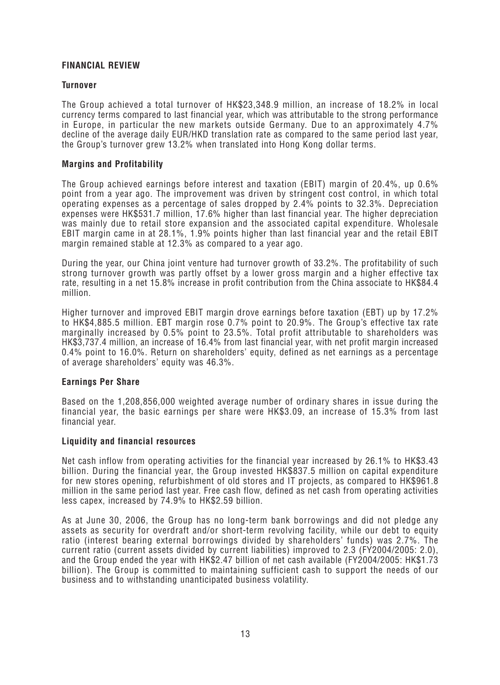## **FINANCIAL REVIEW**

### **Turnover**

The Group achieved a total turnover of HK\$23,348.9 million, an increase of 18.2% in local currency terms compared to last financial year, which was attributable to the strong performance in Europe, in particular the new markets outside Germany. Due to an approximately 4.7% decline of the average daily EUR/HKD translation rate as compared to the same period last year, the Group's turnover grew 13.2% when translated into Hong Kong dollar terms.

### **Margins and Profitability**

The Group achieved earnings before interest and taxation (EBIT) margin of 20.4%, up 0.6% point from a year ago. The improvement was driven by stringent cost control, in which total operating expenses as a percentage of sales dropped by 2.4% points to 32.3%. Depreciation expenses were HK\$531.7 million, 17.6% higher than last financial year. The higher depreciation was mainly due to retail store expansion and the associated capital expenditure. Wholesale EBIT margin came in at 28.1%, 1.9% points higher than last financial year and the retail EBIT margin remained stable at 12.3% as compared to a year ago.

During the year, our China joint venture had turnover growth of 33.2%. The profitability of such strong turnover growth was partly offset by a lower gross margin and a higher effective tax rate, resulting in a net 15.8% increase in profit contribution from the China associate to HK\$84.4 million.

Higher turnover and improved EBIT margin drove earnings before taxation (EBT) up by 17.2% to HK\$4,885.5 million. EBT margin rose 0.7% point to 20.9%. The Group's effective tax rate marginally increased by 0.5% point to 23.5%. Total profit attributable to shareholders was HK\$3,737.4 million, an increase of 16.4% from last financial year, with net profit margin increased 0.4% point to 16.0%. Return on shareholders' equity, defined as net earnings as a percentage of average shareholders' equity was 46.3%.

### **Earnings Per Share**

Based on the 1,208,856,000 weighted average number of ordinary shares in issue during the financial year, the basic earnings per share were HK\$3.09, an increase of 15.3% from last financial year.

### **Liquidity and financial resources**

Net cash inflow from operating activities for the financial year increased by 26.1% to HK\$3.43 billion. During the financial year, the Group invested HK\$837.5 million on capital expenditure for new stores opening, refurbishment of old stores and IT projects, as compared to HK\$961.8 million in the same period last year. Free cash flow, defined as net cash from operating activities less capex, increased by 74.9% to HK\$2.59 billion.

As at June 30, 2006, the Group has no long-term bank borrowings and did not pledge any assets as security for overdraft and/or short-term revolving facility, while our debt to equity ratio (interest bearing external borrowings divided by shareholders' funds) was 2.7%. The current ratio (current assets divided by current liabilities) improved to 2.3 (FY2004/2005: 2.0), and the Group ended the year with HK\$2.47 billion of net cash available (FY2004/2005: HK\$1.73 billion). The Group is committed to maintaining sufficient cash to support the needs of our business and to withstanding unanticipated business volatility.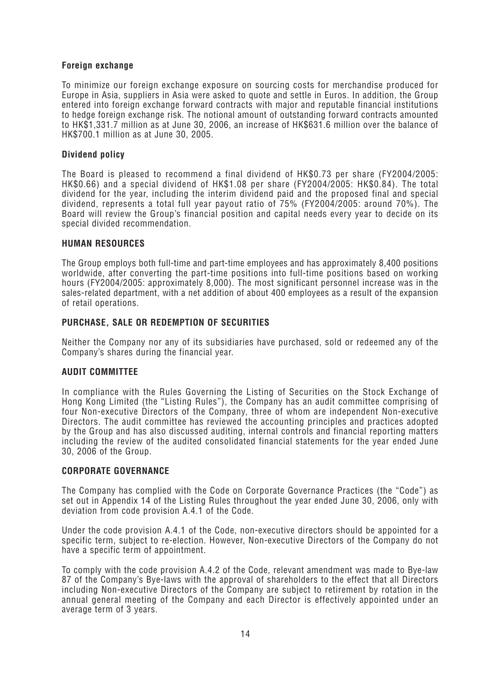## **Foreign exchange**

To minimize our foreign exchange exposure on sourcing costs for merchandise produced for Europe in Asia, suppliers in Asia were asked to quote and settle in Euros. In addition, the Group entered into foreign exchange forward contracts with major and reputable financial institutions to hedge foreign exchange risk. The notional amount of outstanding forward contracts amounted to HK\$1,331.7 million as at June 30, 2006, an increase of HK\$631.6 million over the balance of HK\$700.1 million as at June 30, 2005.

## **Dividend policy**

The Board is pleased to recommend a final dividend of HK\$0.73 per share (FY2004/2005: HK\$0.66) and a special dividend of HK\$1.08 per share (FY2004/2005: HK\$0.84). The total dividend for the year, including the interim dividend paid and the proposed final and special dividend, represents a total full year payout ratio of 75% (FY2004/2005: around 70%). The Board will review the Group's financial position and capital needs every year to decide on its special divided recommendation.

### **HUMAN RESOURCES**

The Group employs both full-time and part-time employees and has approximately 8,400 positions worldwide, after converting the part-time positions into full-time positions based on working hours (FY2004/2005: approximately 8,000). The most significant personnel increase was in the sales-related department, with a net addition of about 400 employees as a result of the expansion of retail operations.

## **PURCHASE, SALE OR REDEMPTION OF SECURITIES**

Neither the Company nor any of its subsidiaries have purchased, sold or redeemed any of the Company's shares during the financial year.

## **AUDIT COMMITTEE**

In compliance with the Rules Governing the Listing of Securities on the Stock Exchange of Hong Kong Limited (the "Listing Rules"), the Company has an audit committee comprising of four Non-executive Directors of the Company, three of whom are independent Non-executive Directors. The audit committee has reviewed the accounting principles and practices adopted by the Group and has also discussed auditing, internal controls and financial reporting matters including the review of the audited consolidated financial statements for the year ended June 30, 2006 of the Group.

## **CORPORATE GOVERNANCE**

The Company has complied with the Code on Corporate Governance Practices (the "Code") as set out in Appendix 14 of the Listing Rules throughout the year ended June 30, 2006, only with deviation from code provision A.4.1 of the Code.

Under the code provision A.4.1 of the Code, non-executive directors should be appointed for a specific term, subject to re-election. However, Non-executive Directors of the Company do not have a specific term of appointment.

To comply with the code provision A.4.2 of the Code, relevant amendment was made to Bye-law 87 of the Company's Bye-laws with the approval of shareholders to the effect that all Directors including Non-executive Directors of the Company are subject to retirement by rotation in the annual general meeting of the Company and each Director is effectively appointed under an average term of 3 years.